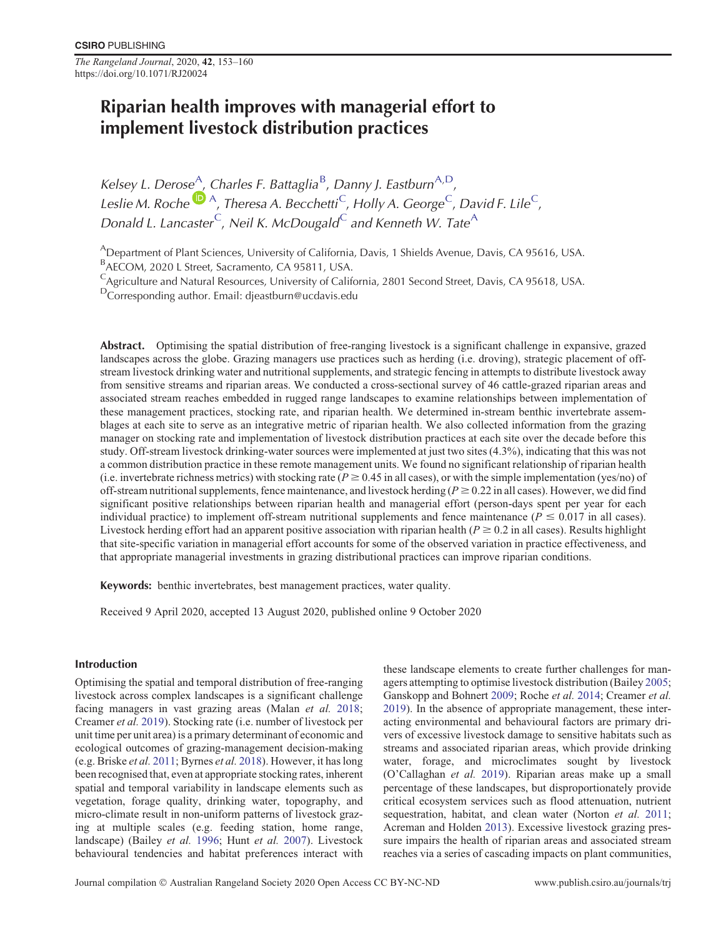*The Rangeland Journal*, 2020, **42**, 153–160 https://doi.org/10.1071/RJ20024

# Riparian health improves with managerial effort to implement livestock distribution practices

Kelsey L. Derose<sup>A</sup>[,](https://orcid.org/0000-0003-2954-8056) Charles F. Battaglia<sup>B</sup>, Danny J. Eastburn<sup>A,D</sup>, Leslie M. Roche<sup>(D)</sup> A, Theresa A. Becchetti<sup>C</sup>, Holly A. George<sup>C</sup>, David F. Lile<sup>C</sup>, Donald L. Lancaster  $\mathsf{C}_r$ , Neil K. McDougald $\mathsf{C}_r$  and Kenneth W. Tate $\mathsf{A}_r$ 

ADepartment of Plant Sciences, University of California, Davis, 1 Shields Avenue, Davis, CA 95616, USA.

BAECOM, 2020 L Street, Sacramento, CA 95811, USA.

CAgriculture and Natural Resources, University of California, 2801 Second Street, Davis, CA 95618, USA.

DCorresponding author. Email: djeastburn@ucdavis.edu

Abstract. Optimising the spatial distribution of free-ranging livestock is a significant challenge in expansive, grazed landscapes across the globe. Grazing managers use practices such as herding (i.e. droving), strategic placement of offstream livestock drinking water and nutritional supplements, and strategic fencing in attempts to distribute livestock away from sensitive streams and riparian areas. We conducted a cross-sectional survey of 46 cattle-grazed riparian areas and associated stream reaches embedded in rugged range landscapes to examine relationships between implementation of these management practices, stocking rate, and riparian health. We determined in-stream benthic invertebrate assemblages at each site to serve as an integrative metric of riparian health. We also collected information from the grazing manager on stocking rate and implementation of livestock distribution practices at each site over the decade before this study. Off-stream livestock drinking-water sources were implemented at just two sites (4.3%), indicating that this was not a common distribution practice in these remote management units. We found no significant relationship of riparian health (i.e. invertebrate richness metrics) with stocking rate ( $P \ge 0.45$  in all cases), or with the simple implementation (yes/no) of off-stream nutritional supplements, fence maintenance, and livestock herding ( $P \ge 0.22$  in all cases). However, we did find significant positive relationships between riparian health and managerial effort (person-days spent per year for each individual practice) to implement off-stream nutritional supplements and fence maintenance ( $P \le 0.017$  in all cases). Livestock herding effort had an apparent positive association with riparian health ( $P \ge 0.2$  in all cases). Results highlight that site-specific variation in managerial effort accounts for some of the observed variation in practice effectiveness, and that appropriate managerial investments in grazing distributional practices can improve riparian conditions.

Keywords: benthic invertebrates, best management practices, water quality.

Received 9 April 2020, accepted 13 August 2020, published online 9 October 2020

### Introduction

Optimising the spatial and temporal distribution of free-ranging livestock across complex landscapes is a significant challenge facing managers in vast grazing areas (Malan *et al.* [2018](#page-7-0); Creamer *et al.* [2019\)](#page-7-0). Stocking rate (i.e. number of livestock per unit time per unit area) is a primary determinant of economic and ecological outcomes of grazing-management decision-making (e.g. Briske *et al.* [2011](#page-6-0); Byrnes *et al.* [2018\)](#page-7-0). However, it has long been recognised that, even at appropriate stocking rates, inherent spatial and temporal variability in landscape elements such as vegetation, forage quality, drinking water, topography, and micro-climate result in non-uniform patterns of livestock grazing at multiple scales (e.g. feeding station, home range, landscape) (Bailey *et al.* [1996](#page-6-0); Hunt *et al.* [2007](#page-7-0)). Livestock behavioural tendencies and habitat preferences interact with

these landscape elements to create further challenges for managers attempting to optimise livestock distribution (Bailey [2005;](#page-6-0) Ganskopp and Bohnert [2009](#page-7-0); Roche *et al.* [2014](#page-7-0); Creamer *et al.* [2019\)](#page-7-0). In the absence of appropriate management, these interacting environmental and behavioural factors are primary drivers of excessive livestock damage to sensitive habitats such as streams and associated riparian areas, which provide drinking water, forage, and microclimates sought by livestock (O'Callaghan *et al.* [2019](#page-7-0)). Riparian areas make up a small percentage of these landscapes, but disproportionately provide critical ecosystem services such as flood attenuation, nutrient sequestration, habitat, and clean water (Norton *et al.* [2011;](#page-7-0) Acreman and Holden [2013](#page-6-0)). Excessive livestock grazing pressure impairs the health of riparian areas and associated stream reaches via a series of cascading impacts on plant communities,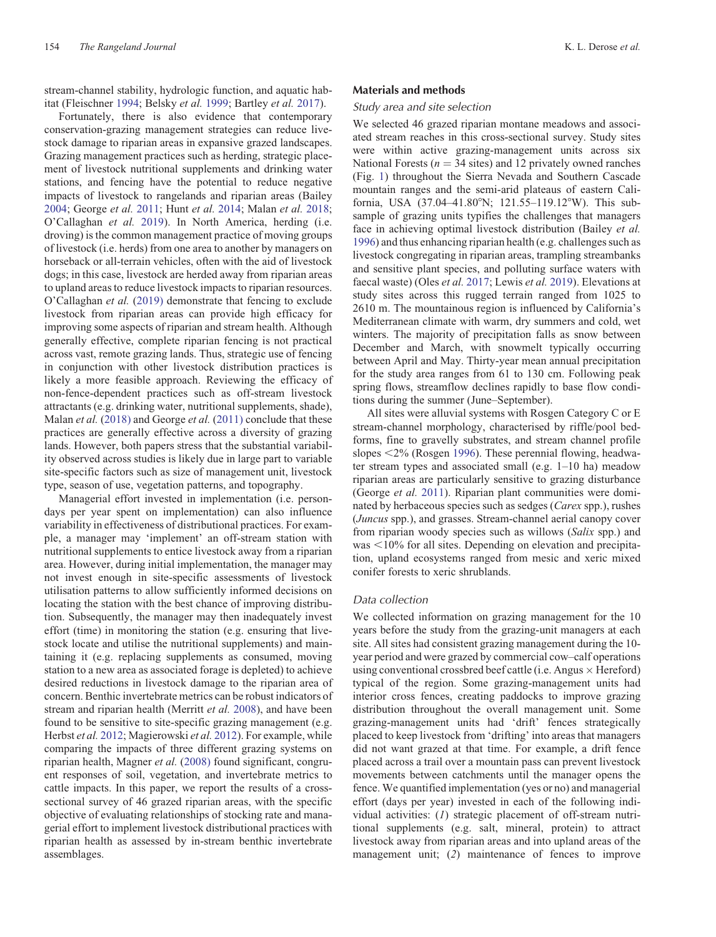stream-channel stability, hydrologic function, and aquatic habitat (Fleischner [1994;](#page-7-0) Belsky *et al.* [1999;](#page-6-0) Bartley *et al.* [2017](#page-6-0)).

Fortunately, there is also evidence that contemporary conservation-grazing management strategies can reduce livestock damage to riparian areas in expansive grazed landscapes. Grazing management practices such as herding, strategic placement of livestock nutritional supplements and drinking water stations, and fencing have the potential to reduce negative impacts of livestock to rangelands and riparian areas (Bailey [2004;](#page-6-0) George *et al.* [2011;](#page-7-0) Hunt *et al.* [2014;](#page-7-0) Malan *et al.* [2018;](#page-7-0) O'Callaghan *et al.* [2019](#page-7-0)). In North America, herding (i.e. droving) is the common management practice of moving groups of livestock (i.e. herds) from one area to another by managers on horseback or all-terrain vehicles, often with the aid of livestock dogs; in this case, livestock are herded away from riparian areas to upland areas to reduce livestock impacts to riparian resources. O'Callaghan *et al.* ([2019\)](#page-7-0) demonstrate that fencing to exclude livestock from riparian areas can provide high efficacy for improving some aspects of riparian and stream health. Although generally effective, complete riparian fencing is not practical across vast, remote grazing lands. Thus, strategic use of fencing in conjunction with other livestock distribution practices is likely a more feasible approach. Reviewing the efficacy of non-fence-dependent practices such as off-stream livestock attractants (e.g. drinking water, nutritional supplements, shade), Malan *et al.* ([2018\)](#page-7-0) and George *et al.* [\(2011\)](#page-7-0) conclude that these practices are generally effective across a diversity of grazing lands. However, both papers stress that the substantial variability observed across studies is likely due in large part to variable site-specific factors such as size of management unit, livestock type, season of use, vegetation patterns, and topography.

Managerial effort invested in implementation (i.e. persondays per year spent on implementation) can also influence variability in effectiveness of distributional practices. For example, a manager may 'implement' an off-stream station with nutritional supplements to entice livestock away from a riparian area. However, during initial implementation, the manager may not invest enough in site-specific assessments of livestock utilisation patterns to allow sufficiently informed decisions on locating the station with the best chance of improving distribution. Subsequently, the manager may then inadequately invest effort (time) in monitoring the station (e.g. ensuring that livestock locate and utilise the nutritional supplements) and maintaining it (e.g. replacing supplements as consumed, moving station to a new area as associated forage is depleted) to achieve desired reductions in livestock damage to the riparian area of concern. Benthic invertebrate metrics can be robust indicators of stream and riparian health (Merritt *et al.* [2008](#page-7-0)), and have been found to be sensitive to site-specific grazing management (e.g. Herbst *et al.* [2012;](#page-7-0) Magierowski *et al.* [2012](#page-7-0)). For example, while comparing the impacts of three different grazing systems on riparian health, Magner *et al.* [\(2008\)](#page-7-0) found significant, congruent responses of soil, vegetation, and invertebrate metrics to cattle impacts. In this paper, we report the results of a crosssectional survey of 46 grazed riparian areas, with the specific objective of evaluating relationships of stocking rate and managerial effort to implement livestock distributional practices with riparian health as assessed by in-stream benthic invertebrate assemblages.

#### Materials and methods

# Study area and site selection

We selected 46 grazed riparian montane meadows and associated stream reaches in this cross-sectional survey. Study sites were within active grazing-management units across six National Forests ( $n = 34$  sites) and 12 privately owned ranches (Fig. [1\)](#page-2-0) throughout the Sierra Nevada and Southern Cascade mountain ranges and the semi-arid plateaus of eastern California, USA (37.04–41.80°N; 121.55–119.12°W). This subsample of grazing units typifies the challenges that managers face in achieving optimal livestock distribution (Bailey *et al.* [1996](#page-6-0)) and thus enhancing riparian health (e.g. challenges such as livestock congregating in riparian areas, trampling streambanks and sensitive plant species, and polluting surface waters with faecal waste) (Oles *et al.* [2017;](#page-7-0) Lewis *et al.* [2019](#page-7-0)). Elevations at study sites across this rugged terrain ranged from 1025 to 2610 m. The mountainous region is influenced by California's Mediterranean climate with warm, dry summers and cold, wet winters. The majority of precipitation falls as snow between December and March, with snowmelt typically occurring between April and May. Thirty-year mean annual precipitation for the study area ranges from 61 to 130 cm. Following peak spring flows, streamflow declines rapidly to base flow conditions during the summer (June–September).

All sites were alluvial systems with Rosgen Category C or E stream-channel morphology, characterised by riffle/pool bedforms, fine to gravelly substrates, and stream channel profile slopes  $\leq$ 2% (Rosgen [1996](#page-7-0)). These perennial flowing, headwater stream types and associated small (e.g. 1–10 ha) meadow riparian areas are particularly sensitive to grazing disturbance (George *et al.* [2011\)](#page-7-0). Riparian plant communities were dominated by herbaceous species such as sedges (*Carex* spp.), rushes (*Juncus* spp.), and grasses. Stream-channel aerial canopy cover from riparian woody species such as willows (*Salix* spp.) and  $was < 10\%$  for all sites. Depending on elevation and precipitation, upland ecosystems ranged from mesic and xeric mixed conifer forests to xeric shrublands.

# Data collection

We collected information on grazing management for the 10 years before the study from the grazing-unit managers at each site. All sites had consistent grazing management during the 10 year period and were grazed by commercial cow–calf operations using conventional crossbred beef cattle (i.e. Angus  $\times$  Hereford) typical of the region. Some grazing-management units had interior cross fences, creating paddocks to improve grazing distribution throughout the overall management unit. Some grazing-management units had 'drift' fences strategically placed to keep livestock from 'drifting' into areas that managers did not want grazed at that time. For example, a drift fence placed across a trail over a mountain pass can prevent livestock movements between catchments until the manager opens the fence. We quantified implementation (yes or no) and managerial effort (days per year) invested in each of the following individual activities: (*1*) strategic placement of off-stream nutritional supplements (e.g. salt, mineral, protein) to attract livestock away from riparian areas and into upland areas of the management unit; (*2*) maintenance of fences to improve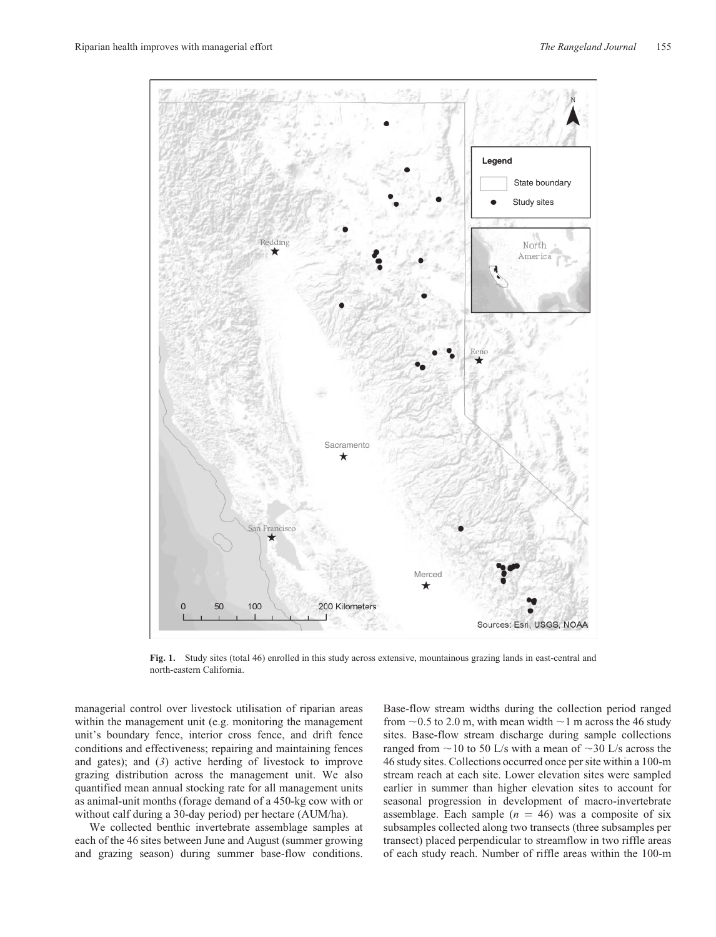<span id="page-2-0"></span>

**Fig. 1.** Study sites (total 46) enrolled in this study across extensive, mountainous grazing lands in east-central and north-eastern California.

managerial control over livestock utilisation of riparian areas within the management unit (e.g. monitoring the management unit's boundary fence, interior cross fence, and drift fence conditions and effectiveness; repairing and maintaining fences and gates); and (*3*) active herding of livestock to improve grazing distribution across the management unit. We also quantified mean annual stocking rate for all management units as animal-unit months (forage demand of a 450-kg cow with or without calf during a 30-day period) per hectare (AUM/ha).

We collected benthic invertebrate assemblage samples at each of the 46 sites between June and August (summer growing and grazing season) during summer base-flow conditions.

Base-flow stream widths during the collection period ranged from  $\sim$  0.5 to 2.0 m, with mean width  $\sim$  1 m across the 46 study sites. Base-flow stream discharge during sample collections ranged from  $\sim$ 10 to 50 L/s with a mean of  $\sim$ 30 L/s across the 46 study sites. Collections occurred once per site within a 100-m stream reach at each site. Lower elevation sites were sampled earlier in summer than higher elevation sites to account for seasonal progression in development of macro-invertebrate assemblage. Each sample  $(n = 46)$  was a composite of six subsamples collected along two transects (three subsamples per transect) placed perpendicular to streamflow in two riffle areas of each study reach. Number of riffle areas within the 100-m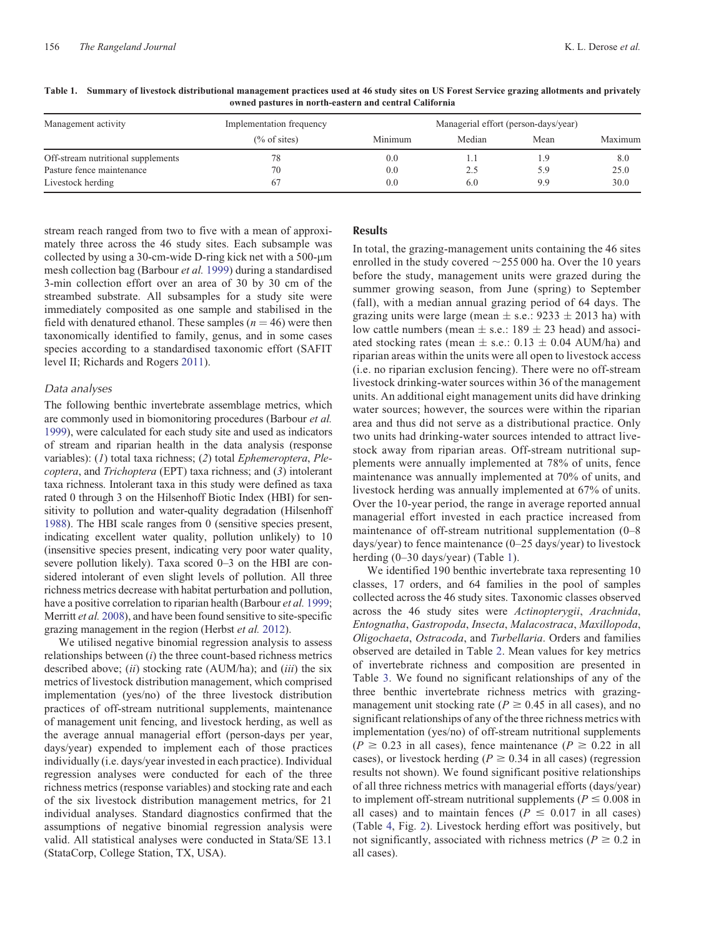| Management activity                | Implementation frequency | Managerial effort (person-days/year) |        |      |         |
|------------------------------------|--------------------------|--------------------------------------|--------|------|---------|
|                                    | $(\%$ of sites)          | Minimum                              | Median | Mean | Maximum |
| Off-stream nutritional supplements | 78                       | 0.0                                  | IJ     | 1.9  | 8.0     |
| Pasture fence maintenance          | 70                       | 0.0                                  | 2.5    | 5.9  | 25.0    |
| Livestock herding                  | 67                       | 0.0                                  | 6.0    | 9.9  | 30.0    |

**Table 1. Summary of livestock distributional management practices used at 46 study sites on US Forest Service grazing allotments and privately owned pastures in north-eastern and central California**

stream reach ranged from two to five with a mean of approximately three across the 46 study sites. Each subsample was collected by using a 30-cm-wide D-ring kick net with a  $500$ - $\mu$ m mesh collection bag (Barbour *et al.* [1999\)](#page-6-0) during a standardised 3-min collection effort over an area of 30 by 30 cm of the streambed substrate. All subsamples for a study site were immediately composited as one sample and stabilised in the field with denatured ethanol. These samples  $(n = 46)$  were then taxonomically identified to family, genus, and in some cases species according to a standardised taxonomic effort (SAFIT level II; Richards and Rogers [2011\)](#page-7-0).

#### Data analyses

The following benthic invertebrate assemblage metrics, which are commonly used in biomonitoring procedures (Barbour *et al.* [1999](#page-6-0)), were calculated for each study site and used as indicators of stream and riparian health in the data analysis (response variables): (*1*) total taxa richness; (*2*) total *Ephemeroptera*, *Plecoptera*, and *Trichoptera* (EPT) taxa richness; and (*3*) intolerant taxa richness. Intolerant taxa in this study were defined as taxa rated 0 through 3 on the Hilsenhoff Biotic Index (HBI) for sensitivity to pollution and water-quality degradation (Hilsenhoff [1988](#page-7-0)). The HBI scale ranges from 0 (sensitive species present, indicating excellent water quality, pollution unlikely) to 10 (insensitive species present, indicating very poor water quality, severe pollution likely). Taxa scored 0–3 on the HBI are considered intolerant of even slight levels of pollution. All three richness metrics decrease with habitat perturbation and pollution, have a positive correlation to riparian health (Barbour *et al.* [1999;](#page-6-0) Merritt *et al.* [2008](#page-7-0)), and have been found sensitive to site-specific grazing management in the region (Herbst *et al.* [2012](#page-7-0)).

We utilised negative binomial regression analysis to assess relationships between (*i*) the three count-based richness metrics described above; (*ii*) stocking rate (AUM/ha); and (*iii*) the six metrics of livestock distribution management, which comprised implementation (yes/no) of the three livestock distribution practices of off-stream nutritional supplements, maintenance of management unit fencing, and livestock herding, as well as the average annual managerial effort (person-days per year, days/year) expended to implement each of those practices individually (i.e. days/year invested in each practice). Individual regression analyses were conducted for each of the three richness metrics (response variables) and stocking rate and each of the six livestock distribution management metrics, for 21 individual analyses. Standard diagnostics confirmed that the assumptions of negative binomial regression analysis were valid. All statistical analyses were conducted in Stata/SE 13.1 (StataCorp, College Station, TX, USA).

# **Results**

In total, the grazing-management units containing the 46 sites enrolled in the study covered  $\sim$ 255 000 ha. Over the 10 years before the study, management units were grazed during the summer growing season, from June (spring) to September (fall), with a median annual grazing period of 64 days. The grazing units were large (mean  $\pm$  s.e.: 9233  $\pm$  2013 ha) with low cattle numbers (mean  $\pm$  s.e.: 189  $\pm$  23 head) and associated stocking rates (mean  $\pm$  s.e.: 0.13  $\pm$  0.04 AUM/ha) and riparian areas within the units were all open to livestock access (i.e. no riparian exclusion fencing). There were no off-stream livestock drinking-water sources within 36 of the management units. An additional eight management units did have drinking water sources; however, the sources were within the riparian area and thus did not serve as a distributional practice. Only two units had drinking-water sources intended to attract livestock away from riparian areas. Off-stream nutritional supplements were annually implemented at 78% of units, fence maintenance was annually implemented at 70% of units, and livestock herding was annually implemented at 67% of units. Over the 10-year period, the range in average reported annual managerial effort invested in each practice increased from maintenance of off-stream nutritional supplementation (0–8 days/year) to fence maintenance (0–25 days/year) to livestock herding (0–30 days/year) (Table 1).

We identified 190 benthic invertebrate taxa representing 10 classes, 17 orders, and 64 families in the pool of samples collected across the 46 study sites. Taxonomic classes observed across the 46 study sites were *Actinopterygii*, *Arachnida*, *Entognatha*, *Gastropoda*, *Insecta*, *Malacostraca*, *Maxillopoda*, *Oligochaeta*, *Ostracoda*, and *Turbellaria*. Orders and families observed are detailed in Table [2.](#page-4-0) Mean values for key metrics of invertebrate richness and composition are presented in Table [3](#page-4-0). We found no significant relationships of any of the three benthic invertebrate richness metrics with grazingmanagement unit stocking rate ( $P \ge 0.45$  in all cases), and no significant relationships of any of the three richness metrics with implementation (yes/no) of off-stream nutritional supplements  $(P \ge 0.23$  in all cases), fence maintenance  $(P \ge 0.22$  in all cases), or livestock herding ( $P \ge 0.34$  in all cases) (regression results not shown). We found significant positive relationships of all three richness metrics with managerial efforts (days/year) to implement off-stream nutritional supplements ( $P \le 0.008$  in all cases) and to maintain fences ( $P \le 0.017$  in all cases) (Table [4](#page-4-0), Fig. [2](#page-5-0)). Livestock herding effort was positively, but not significantly, associated with richness metrics ( $P \ge 0.2$  in all cases).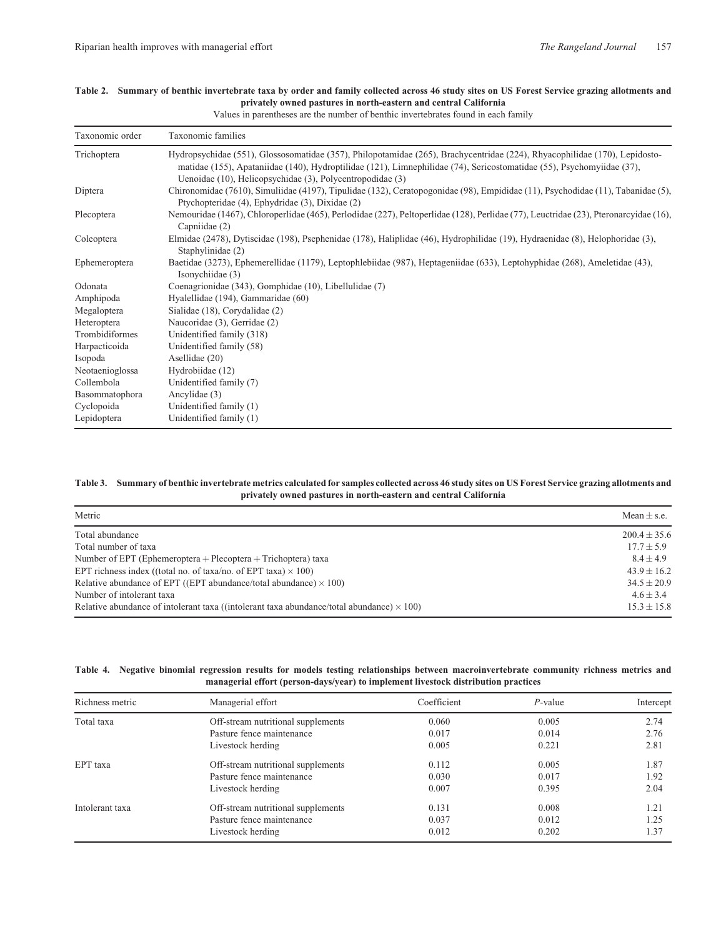| Taxonomic order | Taxonomic families                                                                                                                                                                                                                                                                                               |
|-----------------|------------------------------------------------------------------------------------------------------------------------------------------------------------------------------------------------------------------------------------------------------------------------------------------------------------------|
| Trichoptera     | Hydropsychidae (551), Glossosomatidae (357), Philopotamidae (265), Brachycentridae (224), Rhyacophilidae (170), Lepidosto-<br>matidae (155), Apataniidae (140), Hydroptilidae (121), Limnephilidae (74), Sericostomatidae (55), Psychomyiidae (37),<br>Uenoidae (10), Helicopsychidae (3), Polycentropodidae (3) |
| Diptera         | Chironomidae (7610), Simuliidae (4197), Tipulidae (132), Ceratopogonidae (98), Empididae (11), Psychodidae (11), Tabanidae (5),<br>Ptychopteridae (4), Ephydridae (3), Dixidae (2)                                                                                                                               |
| Plecoptera      | Nemouridae (1467), Chloroperlidae (465), Perlodidae (227), Peltoperlidae (128), Perlidae (77), Leuctridae (23), Pteronarcyidae (16),<br>Capniidae (2)                                                                                                                                                            |
| Coleoptera      | Elmidae (2478), Dytiscidae (198), Psephenidae (178), Haliplidae (46), Hydrophilidae (19), Hydraenidae (8), Helophoridae (3),<br>Staphylinidae (2)                                                                                                                                                                |
| Ephemeroptera   | Baetidae (3273), Ephemerellidae (1179), Leptophlebiidae (987), Heptageniidae (633), Leptohyphidae (268), Ameletidae (43),<br>Isonychiidae (3)                                                                                                                                                                    |
| Odonata         | Coenagrionidae (343), Gomphidae (10), Libellulidae (7)                                                                                                                                                                                                                                                           |
| Amphipoda       | Hyalellidae (194), Gammaridae (60)                                                                                                                                                                                                                                                                               |
| Megaloptera     | Sialidae (18), Corydalidae (2)                                                                                                                                                                                                                                                                                   |
| Heteroptera     | Naucoridae (3), Gerridae (2)                                                                                                                                                                                                                                                                                     |
| Trombidiformes  | Unidentified family (318)                                                                                                                                                                                                                                                                                        |
| Harpacticoida   | Unidentified family (58)                                                                                                                                                                                                                                                                                         |
| Isopoda         | Asellidae (20)                                                                                                                                                                                                                                                                                                   |
| Neotaenioglossa | Hydrobiidae (12)                                                                                                                                                                                                                                                                                                 |
| Collembola      | Unidentified family (7)                                                                                                                                                                                                                                                                                          |
| Basommatophora  | Ancylidae (3)                                                                                                                                                                                                                                                                                                    |
| Cyclopoida      | Unidentified family (1)                                                                                                                                                                                                                                                                                          |
| Lepidoptera     | Unidentified family (1)                                                                                                                                                                                                                                                                                          |

# <span id="page-4-0"></span>**Table 2. Summary of benthic invertebrate taxa by order and family collected across 46 study sites on US Forest Service grazing allotments and privately owned pastures in north-eastern and central California**

Values in parentheses are the number of benthic invertebrates found in each family

#### **Table 3. Summary of benthic invertebrate metrics calculated for samples collected across 46 study sites on US Forest Service grazing allotments and privately owned pastures in north-eastern and central California**

| Metric                                                                                           | Mean $\pm$ s.e.  |  |
|--------------------------------------------------------------------------------------------------|------------------|--|
| Total abundance                                                                                  | $200.4 \pm 35.6$ |  |
| Total number of taxa                                                                             | $17.7 \pm 5.9$   |  |
| Number of EPT (Ephemeroptera + Plecoptera + Trichoptera) taxa                                    | $8.4 + 4.9$      |  |
| EPT richness index ((total no. of taxa/no. of EPT taxa) $\times$ 100)                            | $43.9 + 16.2$    |  |
| Relative abundance of EPT ((EPT abundance/total abundance) $\times$ 100)                         | $34.5 \pm 20.9$  |  |
| Number of intolerant taxa                                                                        | $4.6 + 3.4$      |  |
| Relative abundance of intolerant taxa ((intolerant taxa abundance/total abundance) $\times$ 100) | $15.3 \pm 15.8$  |  |

| Richness metric | Managerial effort                  | Coefficient | $P$ -value | Intercept |
|-----------------|------------------------------------|-------------|------------|-----------|
| Total taxa      | Off-stream nutritional supplements | 0.060       | 0.005      | 2.74      |
|                 | Pasture fence maintenance          | 0.017       | 0.014      | 2.76      |
|                 | Livestock herding                  | 0.005       | 0.221      | 2.81      |
| EPT taxa        | Off-stream nutritional supplements | 0.112       | 0.005      | 1.87      |
|                 | Pasture fence maintenance          | 0.030       | 0.017      | 1.92      |
|                 | Livestock herding                  | 0.007       | 0.395      | 2.04      |
| Intolerant taxa | Off-stream nutritional supplements | 0.131       | 0.008      | 1.21      |
|                 | Pasture fence maintenance          | 0.037       | 0.012      | 1.25      |
|                 | Livestock herding                  | 0.012       | 0.202      | 1.37      |

**Table 4. Negative binomial regression results for models testing relationships between macroinvertebrate community richness metrics and managerial effort (person-days/year) to implement livestock distribution practices**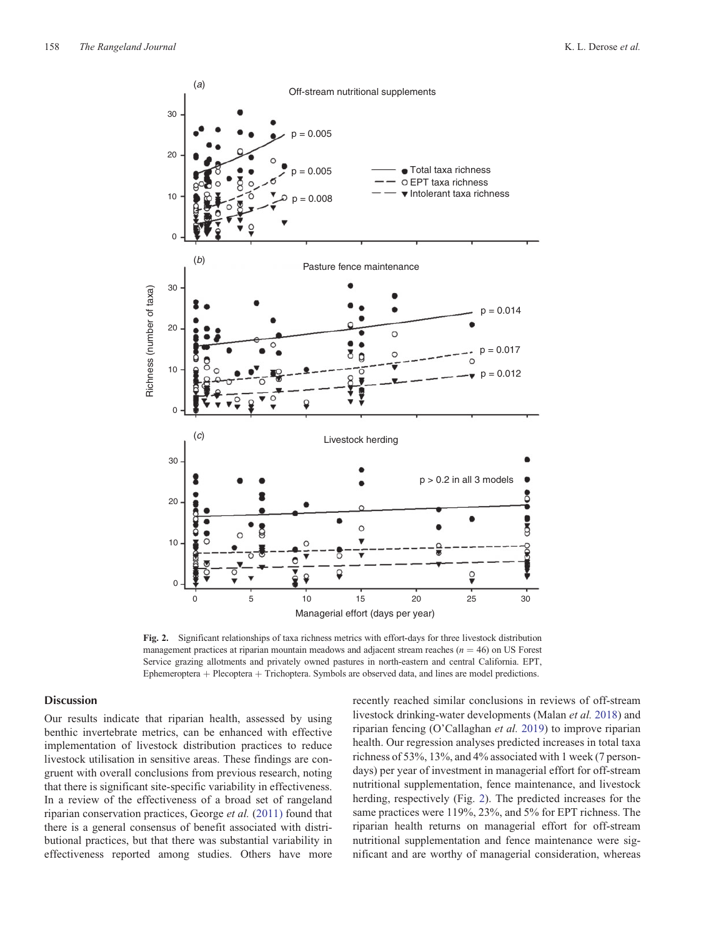<span id="page-5-0"></span>

**Fig. 2.** Significant relationships of taxa richness metrics with effort-days for three livestock distribution management practices at riparian mountain meadows and adjacent stream reaches ( $n = 46$ ) on US Forest Service grazing allotments and privately owned pastures in north-eastern and central California. EPT, Ephemeroptera + Plecoptera + Trichoptera. Symbols are observed data, and lines are model predictions.

# **Discussion**

Our results indicate that riparian health, assessed by using benthic invertebrate metrics, can be enhanced with effective implementation of livestock distribution practices to reduce livestock utilisation in sensitive areas. These findings are congruent with overall conclusions from previous research, noting that there is significant site-specific variability in effectiveness. In a review of the effectiveness of a broad set of rangeland riparian conservation practices, George *et al.* [\(2011\)](#page-7-0) found that there is a general consensus of benefit associated with distributional practices, but that there was substantial variability in effectiveness reported among studies. Others have more

recently reached similar conclusions in reviews of off-stream livestock drinking-water developments (Malan *et al.* [2018\)](#page-7-0) and riparian fencing (O'Callaghan *et al.* [2019\)](#page-7-0) to improve riparian health. Our regression analyses predicted increases in total taxa richness of 53%, 13%, and 4% associated with 1 week (7 persondays) per year of investment in managerial effort for off-stream nutritional supplementation, fence maintenance, and livestock herding, respectively (Fig. 2). The predicted increases for the same practices were 119%, 23%, and 5% for EPT richness. The riparian health returns on managerial effort for off-stream nutritional supplementation and fence maintenance were significant and are worthy of managerial consideration, whereas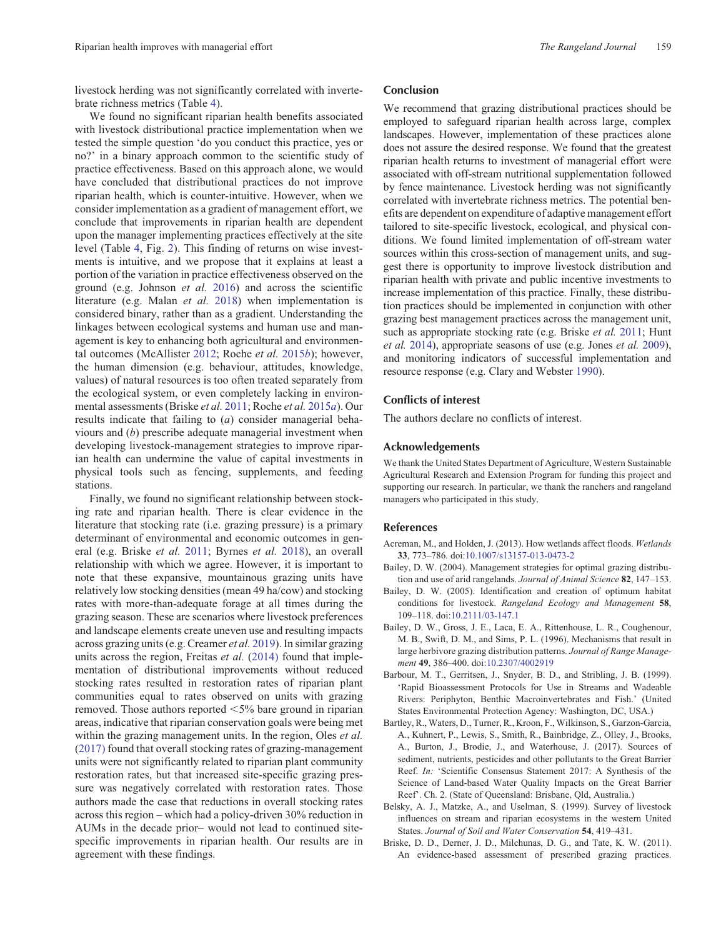<span id="page-6-0"></span>livestock herding was not significantly correlated with invertebrate richness metrics (Table [4\)](#page-4-0).

We found no significant riparian health benefits associated with livestock distributional practice implementation when we tested the simple question 'do you conduct this practice, yes or no?' in a binary approach common to the scientific study of practice effectiveness. Based on this approach alone, we would have concluded that distributional practices do not improve riparian health, which is counter-intuitive. However, when we consider implementation as a gradient of management effort, we conclude that improvements in riparian health are dependent upon the manager implementing practices effectively at the site level (Table [4](#page-4-0), Fig. [2](#page-5-0)). This finding of returns on wise investments is intuitive, and we propose that it explains at least a portion of the variation in practice effectiveness observed on the ground (e.g. Johnson *et al.* [2016](#page-7-0)) and across the scientific literature (e.g. Malan *et al.* [2018\)](#page-7-0) when implementation is considered binary, rather than as a gradient. Understanding the linkages between ecological systems and human use and management is key to enhancing both agricultural and environmental outcomes (McAllister [2012;](#page-7-0) Roche *et al.* [2015](#page-7-0)*b*); however, the human dimension (e.g. behaviour, attitudes, knowledge, values) of natural resources is too often treated separately from the ecological system, or even completely lacking in environmental assessments (Briske *et al.* 2011; Roche *et al.* [2015](#page-7-0)*a*). Our results indicate that failing to (*a*) consider managerial behaviours and (*b*) prescribe adequate managerial investment when developing livestock-management strategies to improve riparian health can undermine the value of capital investments in physical tools such as fencing, supplements, and feeding stations.

Finally, we found no significant relationship between stocking rate and riparian health. There is clear evidence in the literature that stocking rate (i.e. grazing pressure) is a primary determinant of environmental and economic outcomes in general (e.g. Briske *et al.* 2011; Byrnes *et al.* [2018](#page-7-0)), an overall relationship with which we agree. However, it is important to note that these expansive, mountainous grazing units have relatively low stocking densities (mean 49 ha/cow) and stocking rates with more-than-adequate forage at all times during the grazing season. These are scenarios where livestock preferences and landscape elements create uneven use and resulting impacts across grazing units (e.g. Creamer *et al.* [2019\)](#page-7-0). In similar grazing units across the region, Freitas *et al.* ([2014\)](#page-7-0) found that implementation of distributional improvements without reduced stocking rates resulted in restoration rates of riparian plant communities equal to rates observed on units with grazing removed. Those authors reported  $\leq 5\%$  bare ground in riparian areas, indicative that riparian conservation goals were being met within the grazing management units. In the region, Oles *et al.* ([2017\)](#page-7-0) found that overall stocking rates of grazing-management units were not significantly related to riparian plant community restoration rates, but that increased site-specific grazing pressure was negatively correlated with restoration rates. Those authors made the case that reductions in overall stocking rates across this region – which had a policy-driven 30% reduction in AUMs in the decade prior– would not lead to continued sitespecific improvements in riparian health. Our results are in agreement with these findings.

# Conclusion

We recommend that grazing distributional practices should be employed to safeguard riparian health across large, complex landscapes. However, implementation of these practices alone does not assure the desired response. We found that the greatest riparian health returns to investment of managerial effort were associated with off-stream nutritional supplementation followed by fence maintenance. Livestock herding was not significantly correlated with invertebrate richness metrics. The potential benefits are dependent on expenditure of adaptive management effort tailored to site-specific livestock, ecological, and physical conditions. We found limited implementation of off-stream water sources within this cross-section of management units, and suggest there is opportunity to improve livestock distribution and riparian health with private and public incentive investments to increase implementation of this practice. Finally, these distribution practices should be implemented in conjunction with other grazing best management practices across the management unit, such as appropriate stocking rate (e.g. Briske *et al.* 2011; Hunt *et al.* [2014](#page-7-0)), appropriate seasons of use (e.g. Jones *et al.* [2009\)](#page-7-0), and monitoring indicators of successful implementation and resource response (e.g. Clary and Webster [1990\)](#page-7-0).

# Conflicts of interest

The authors declare no conflicts of interest.

# Acknowledgements

We thank the United States Department of Agriculture, Western Sustainable Agricultural Research and Extension Program for funding this project and supporting our research. In particular, we thank the ranchers and rangeland managers who participated in this study.

### References

- Acreman, M., and Holden, J. (2013). How wetlands affect floods. *Wetlands* **33**, 773–786. doi[:10.1007/s13157-013-0473-2](http://dx.doi.org/10.1007/s13157-013-0473-2)
- Bailey, D. W. (2004). Management strategies for optimal grazing distribution and use of arid rangelands. *Journal of Animal Science* **82**, 147–153.
- Bailey, D. W. (2005). Identification and creation of optimum habitat conditions for livestock. *Rangeland Ecology and Management* **58**, 109–118. doi[:10.2111/03-147.1](http://dx.doi.org/10.2111/03-147.1)
- Bailey, D. W., Gross, J. E., Laca, E. A., Rittenhouse, L. R., Coughenour, M. B., Swift, D. M., and Sims, P. L. (1996). Mechanisms that result in large herbivore grazing distribution patterns. *Journal of Range Management* **49**, 386–400. doi:[10.2307/4002919](http://dx.doi.org/10.2307/4002919)
- Barbour, M. T., Gerritsen, J., Snyder, B. D., and Stribling, J. B. (1999). 'Rapid Bioassessment Protocols for Use in Streams and Wadeable Rivers: Periphyton, Benthic Macroinvertebrates and Fish.' (United States Environmental Protection Agency: Washington, DC, USA.)
- Bartley, R., Waters, D., Turner, R., Kroon, F., Wilkinson, S., Garzon-Garcia, A., Kuhnert, P., Lewis, S., Smith, R., Bainbridge, Z., Olley, J., Brooks, A., Burton, J., Brodie, J., and Waterhouse, J. (2017). Sources of sediment, nutrients, pesticides and other pollutants to the Great Barrier Reef. *In:* 'Scientific Consensus Statement 2017: A Synthesis of the Science of Land-based Water Quality Impacts on the Great Barrier Reef'. Ch. 2. (State of Queensland: Brisbane, Qld, Australia.)
- Belsky, A. J., Matzke, A., and Uselman, S. (1999). Survey of livestock influences on stream and riparian ecosystems in the western United States. *Journal of Soil and Water Conservation* **54**, 419–431.
- Briske, D. D., Derner, J. D., Milchunas, D. G., and Tate, K. W. (2011). An evidence-based assessment of prescribed grazing practices.